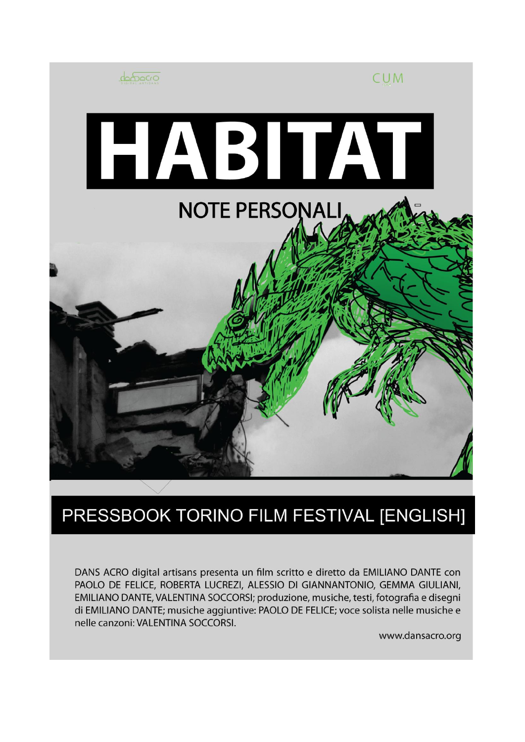

## PRESSBOOK TORINO FILM FESTIVAL [ENGLISH]

DANS ACRO digital artisans presenta un film scritto e diretto da EMILIANO DANTE con PAOLO DE FELICE, ROBERTA LUCREZI, ALESSIO DI GIANNANTONIO, GEMMA GIULIANI, EMILIANO DANTE, VALENTINA SOCCORSI; produzione, musiche, testi, fotografia e disegni di EMILIANO DANTE; musiche aggiuntive: PAOLO DE FELICE; voce solista nelle musiche e nelle canzoni: VALENTINA SOCCORSI.

www.dansacro.org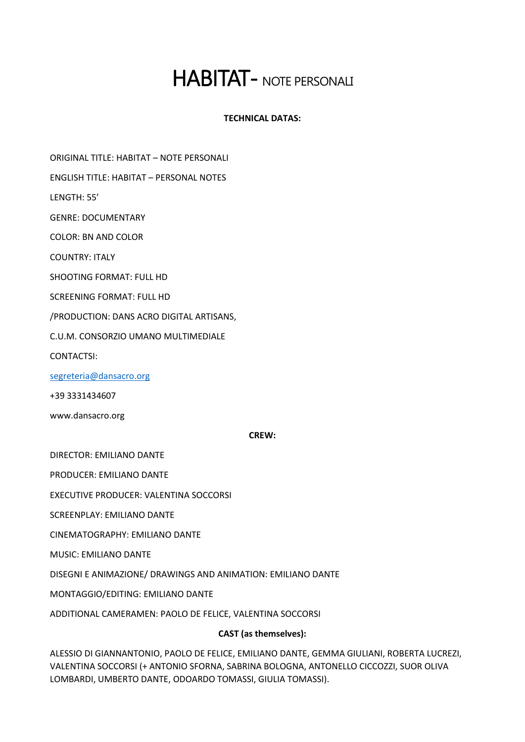# HABITAT - NOTE PERSONALI

## **TECHNICAL DATAS:**

ORIGINAL TITLE: HABITAT – NOTE PERSONALI

ENGLISH TITLE: HABITAT – PERSONAL NOTES

LENGTH: 55'

GENRE: DOCUMENTARY

COLOR: BN AND COLOR

COUNTRY: ITALY

SHOOTING FORMAT: FULL HD

SCREENING FORMAT: FULL HD

/PRODUCTION: DANS ACRO DIGITAL ARTISANS,

C.U.M. CONSORZIO UMANO MULTIMEDIALE

CONTACTSI:

[segreteria@dansacro.org](mailto:segreteria@dansacro.org)

+39 3331434607

www.dansacro.org

#### **CREW:**

DIRECTOR: EMILIANO DANTE

PRODUCER: EMILIANO DANTE

EXECUTIVE PRODUCER: VALENTINA SOCCORSI

SCREENPLAY: EMILIANO DANTE

CINEMATOGRAPHY: EMILIANO DANTE

MUSIC: EMILIANO DANTE

DISEGNI E ANIMAZIONE/ DRAWINGS AND ANIMATION: EMILIANO DANTE

MONTAGGIO/EDITING: EMILIANO DANTE

ADDITIONAL CAMERAMEN: PAOLO DE FELICE, VALENTINA SOCCORSI

## **CAST (as themselves):**

ALESSIO DI GIANNANTONIO, PAOLO DE FELICE, EMILIANO DANTE, GEMMA GIULIANI, ROBERTA LUCREZI, VALENTINA SOCCORSI (+ ANTONIO SFORNA, SABRINA BOLOGNA, ANTONELLO CICCOZZI, SUOR OLIVA LOMBARDI, UMBERTO DANTE, ODOARDO TOMASSI, GIULIA TOMASSI).